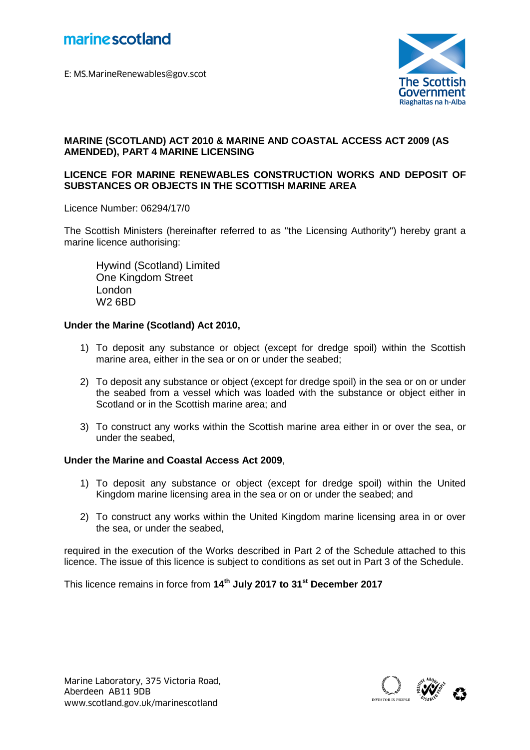



## **MARINE (SCOTLAND) ACT 2010 & MARINE AND COASTAL ACCESS ACT 2009 (AS AMENDED), PART 4 MARINE LICENSING**

### **LICENCE FOR MARINE RENEWABLES CONSTRUCTION WORKS AND DEPOSIT OF SUBSTANCES OR OBJECTS IN THE SCOTTISH MARINE AREA**

Licence Number: 06294/17/0

The Scottish Ministers (hereinafter referred to as "the Licensing Authority") hereby grant a marine licence authorising:

Hywind (Scotland) Limited One Kingdom Street London W2 6BD

#### **Under the Marine (Scotland) Act 2010,**

- 1) To deposit any substance or object (except for dredge spoil) within the Scottish marine area, either in the sea or on or under the seabed;
- 2) To deposit any substance or object (except for dredge spoil) in the sea or on or under the seabed from a vessel which was loaded with the substance or object either in Scotland or in the Scottish marine area; and
- 3) To construct any works within the Scottish marine area either in or over the sea, or under the seabed,

#### **Under the Marine and Coastal Access Act 2009**,

- 1) To deposit any substance or object (except for dredge spoil) within the United Kingdom marine licensing area in the sea or on or under the seabed; and
- 2) To construct any works within the United Kingdom marine licensing area in or over the sea, or under the seabed,

required in the execution of the Works described in Part 2 of the Schedule attached to this licence. The issue of this licence is subject to conditions as set out in Part 3 of the Schedule.

This licence remains in force from **14 th July 2017 to 31st December 2017**



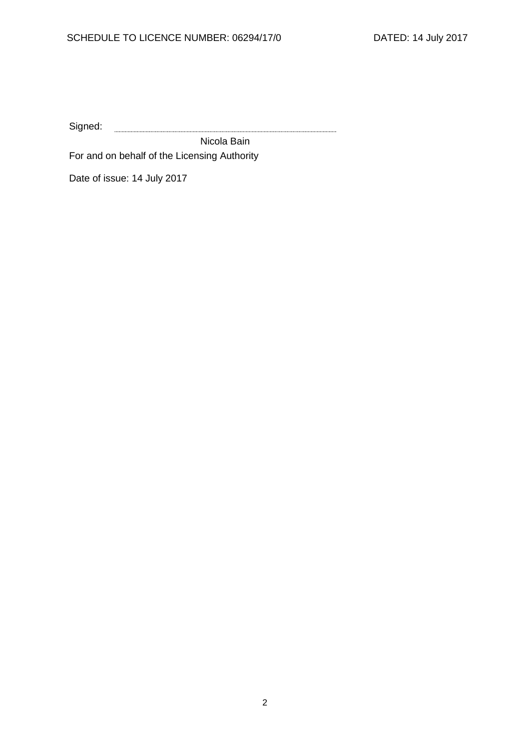Signed: 

Nicola Bain For and on behalf of the Licensing Authority

Date of issue: 14 July 2017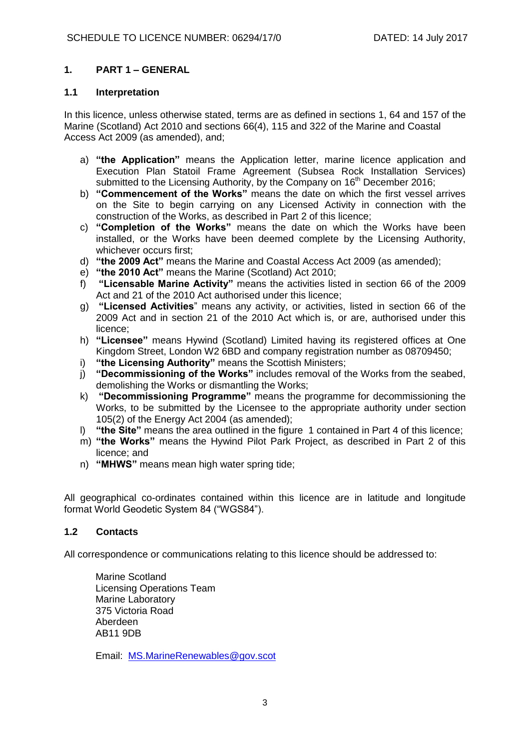## **1. PART 1 – GENERAL**

#### **1.1 Interpretation**

In this licence, unless otherwise stated, terms are as defined in sections 1, 64 and 157 of the Marine (Scotland) Act 2010 and sections 66(4), 115 and 322 of the Marine and Coastal Access Act 2009 (as amended), and;

- a) **"the Application"** means the Application letter, marine licence application and Execution Plan Statoil Frame Agreement (Subsea Rock Installation Services) submitted to the Licensing Authority, by the Company on 16<sup>th</sup> December 2016:
- b) **"Commencement of the Works"** means the date on which the first vessel arrives on the Site to begin carrying on any Licensed Activity in connection with the construction of the Works, as described in Part 2 of this licence;
- c) **"Completion of the Works"** means the date on which the Works have been installed, or the Works have been deemed complete by the Licensing Authority, whichever occurs first;
- d) **"the 2009 Act"** means the Marine and Coastal Access Act 2009 (as amended);
- e) **"the 2010 Act"** means the Marine (Scotland) Act 2010;
- f) **"Licensable Marine Activity"** means the activities listed in section 66 of the 2009 Act and 21 of the 2010 Act authorised under this licence;
- g) **"Licensed Activities**" means any activity, or activities, listed in section 66 of the 2009 Act and in section 21 of the 2010 Act which is, or are, authorised under this licence;
- h) **"Licensee"** means Hywind (Scotland) Limited having its registered offices at One Kingdom Street, London W2 6BD and company registration number as 08709450;
- i) **"the Licensing Authority"** means the Scottish Ministers;
- j) **"Decommissioning of the Works"** includes removal of the Works from the seabed, demolishing the Works or dismantling the Works;
- k) **"Decommissioning Programme"** means the programme for decommissioning the Works, to be submitted by the Licensee to the appropriate authority under section 105(2) of the Energy Act 2004 (as amended);
- l) **"the Site"** means the area outlined in the figure 1 contained in Part 4 of this licence;
- m) **"the Works"** means the Hywind Pilot Park Project, as described in Part 2 of this licence; and
- n) **"MHWS"** means mean high water spring tide;

All geographical co-ordinates contained within this licence are in latitude and longitude format World Geodetic System 84 ("WGS84").

# **1.2 Contacts**

All correspondence or communications relating to this licence should be addressed to:

Marine Scotland Licensing Operations Team Marine Laboratory 375 Victoria Road Aberdeen AB11 9DB

Email: [MS.MarineRenewables@gov.scot](mailto:MS.MarineRenewables@gov.scot)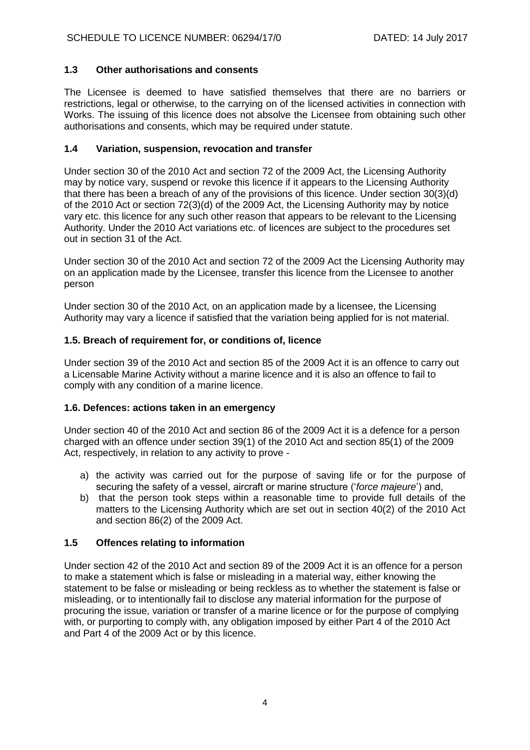# **1.3 Other authorisations and consents**

The Licensee is deemed to have satisfied themselves that there are no barriers or restrictions, legal or otherwise, to the carrying on of the licensed activities in connection with Works. The issuing of this licence does not absolve the Licensee from obtaining such other authorisations and consents, which may be required under statute.

## **1.4 Variation, suspension, revocation and transfer**

Under section 30 of the 2010 Act and section 72 of the 2009 Act, the Licensing Authority may by notice vary, suspend or revoke this licence if it appears to the Licensing Authority that there has been a breach of any of the provisions of this licence. Under section 30(3)(d) of the 2010 Act or section 72(3)(d) of the 2009 Act, the Licensing Authority may by notice vary etc. this licence for any such other reason that appears to be relevant to the Licensing Authority. Under the 2010 Act variations etc. of licences are subject to the procedures set out in section 31 of the Act.

Under section 30 of the 2010 Act and section 72 of the 2009 Act the Licensing Authority may on an application made by the Licensee, transfer this licence from the Licensee to another person

Under section 30 of the 2010 Act, on an application made by a licensee, the Licensing Authority may vary a licence if satisfied that the variation being applied for is not material.

## **1.5. Breach of requirement for, or conditions of, licence**

Under section 39 of the 2010 Act and section 85 of the 2009 Act it is an offence to carry out a Licensable Marine Activity without a marine licence and it is also an offence to fail to comply with any condition of a marine licence.

## **1.6. Defences: actions taken in an emergency**

Under section 40 of the 2010 Act and section 86 of the 2009 Act it is a defence for a person charged with an offence under section 39(1) of the 2010 Act and section 85(1) of the 2009 Act, respectively, in relation to any activity to prove -

- a) the activity was carried out for the purpose of saving life or for the purpose of securing the safety of a vessel, aircraft or marine structure ('*force majeure*') and,
- b) that the person took steps within a reasonable time to provide full details of the matters to the Licensing Authority which are set out in section 40(2) of the 2010 Act and section 86(2) of the 2009 Act.

## **1.5 Offences relating to information**

Under section 42 of the 2010 Act and section 89 of the 2009 Act it is an offence for a person to make a statement which is false or misleading in a material way, either knowing the statement to be false or misleading or being reckless as to whether the statement is false or misleading, or to intentionally fail to disclose any material information for the purpose of procuring the issue, variation or transfer of a marine licence or for the purpose of complying with, or purporting to comply with, any obligation imposed by either Part 4 of the 2010 Act and Part 4 of the 2009 Act or by this licence.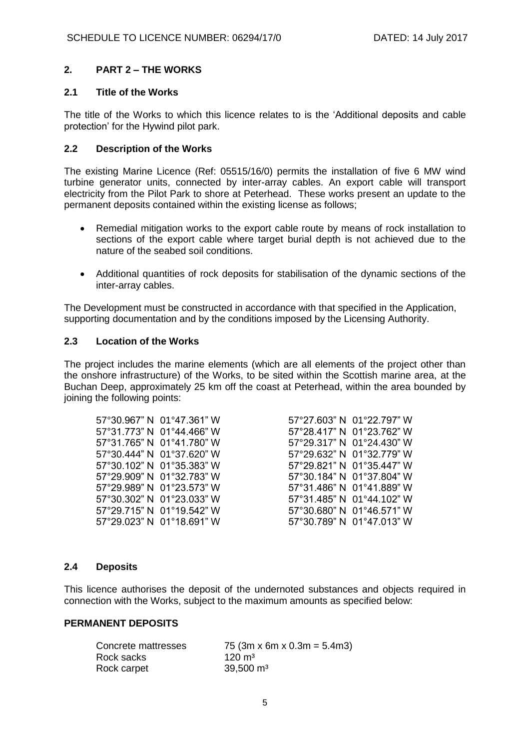# **2. PART 2 – THE WORKS**

### **2.1 Title of the Works**

The title of the Works to which this licence relates to is the 'Additional deposits and cable protection' for the Hywind pilot park.

### **2.2 Description of the Works**

The existing Marine Licence (Ref: 05515/16/0) permits the installation of five 6 MW wind turbine generator units, connected by inter-array cables. An export cable will transport electricity from the Pilot Park to shore at Peterhead. These works present an update to the permanent deposits contained within the existing license as follows;

- Remedial mitigation works to the export cable route by means of rock installation to sections of the export cable where target burial depth is not achieved due to the nature of the seabed soil conditions.
- Additional quantities of rock deposits for stabilisation of the dynamic sections of the inter-array cables.

The Development must be constructed in accordance with that specified in the Application, supporting documentation and by the conditions imposed by the Licensing Authority.

#### **2.3 Location of the Works**

The project includes the marine elements (which are all elements of the project other than the onshore infrastructure) of the Works, to be sited within the Scottish marine area, at the Buchan Deep, approximately 25 km off the coast at Peterhead, within the area bounded by joining the following points:

|              | 57°30.967" N 01°47.361" W |
|--------------|---------------------------|
|              | 57°31.773" N 01°44.466" W |
| 57°31.765" N | 01°41.780" W              |
| 57°30.444" N | $01^{\circ}37.620"$ W     |
| 57°30.102" N | 01°35.383" W              |
| 57°29.909" N | 01°32.783" W              |
| 57°29.989" N | 01°23.573" W              |
| 57°30.302" N | 01°23.033" W              |
| 57°29.715" N | 01°19.542" W              |
| 57°29.023" N | 01°18.691" W              |

57°27.603" N 01°22.797" W 57°28.417" N 01°23.762" W 57°29.317" N 01°24.430" W 57°29.632" N 01°32.779" W 57°30.102" N 01°35.383" W 57°29.821" N 01°35.447" W 57°30.184" N 01°37.804" W 57°29.989" N 01°23.573" W 57°31.486" N 01°41.889" W 57°30.302" N 01°23.033" W 57°31.485" N 01°44.102" W 57°29.715" N 01°19.542" W 57°30.680" N 01°46.571" W 57°30.789" N 01°47.013" W

#### **2.4 Deposits**

This licence authorises the deposit of the undernoted substances and objects required in connection with the Works, subject to the maximum amounts as specified below:

## **PERMANENT DEPOSITS**

| Concrete mattresses | 75 (3m x 6m x 0.3m = 5.4m3) |
|---------------------|-----------------------------|
| Rock sacks          | $120 \text{ m}^3$           |
| Rock carpet         | $39,500 \text{ m}^3$        |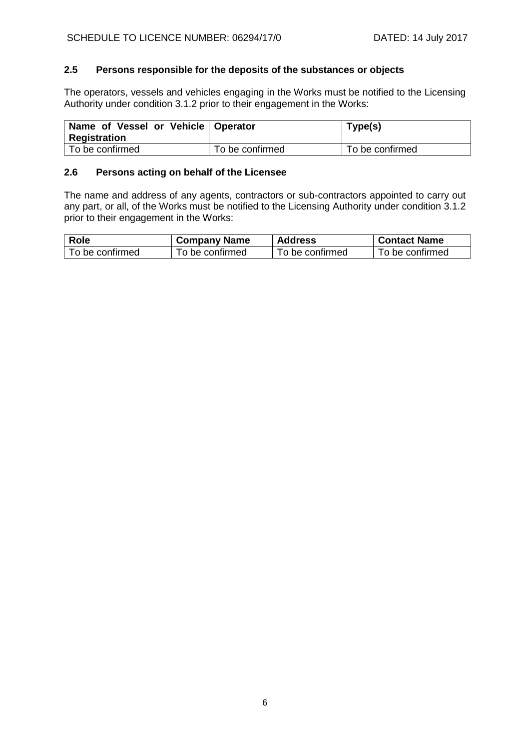## **2.5 Persons responsible for the deposits of the substances or objects**

The operators, vessels and vehicles engaging in the Works must be notified to the Licensing Authority under condition 3.1.2 prior to their engagement in the Works:

| Name of Vessel or Vehicle   Operator<br>Registration |                 | Type(s)         |
|------------------------------------------------------|-----------------|-----------------|
| To be confirmed                                      | To be confirmed | To be confirmed |

## **2.6 Persons acting on behalf of the Licensee**

The name and address of any agents, contractors or sub-contractors appointed to carry out any part, or all, of the Works must be notified to the Licensing Authority under condition 3.1.2 prior to their engagement in the Works:

| <b>Role</b>     | <b>Company Name</b> | <b>Address</b>  | <b>Contact Name</b> |
|-----------------|---------------------|-----------------|---------------------|
| To be confirmed | To be confirmed     | To be confirmed | To be confirmed     |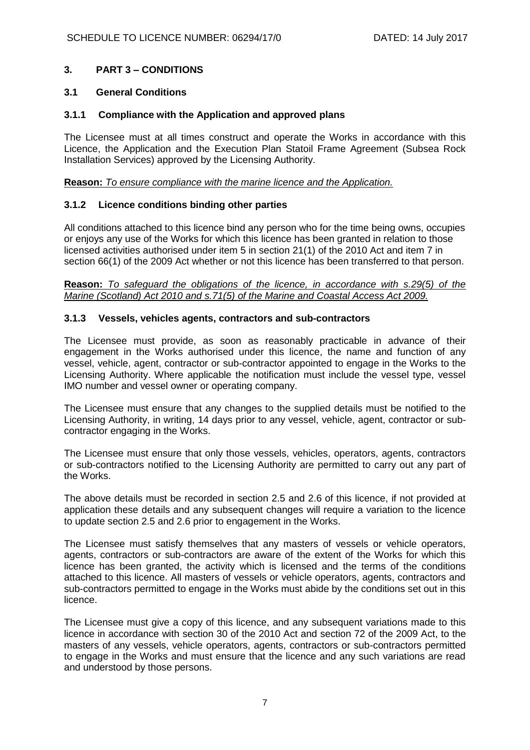# **3. PART 3 – CONDITIONS**

### **3.1 General Conditions**

#### **3.1.1 Compliance with the Application and approved plans**

The Licensee must at all times construct and operate the Works in accordance with this Licence, the Application and the Execution Plan Statoil Frame Agreement (Subsea Rock Installation Services) approved by the Licensing Authority.

**Reason:** *To ensure compliance with the marine licence and the Application.* 

#### **3.1.2 Licence conditions binding other parties**

All conditions attached to this licence bind any person who for the time being owns, occupies or enjoys any use of the Works for which this licence has been granted in relation to those licensed activities authorised under item 5 in section 21(1) of the 2010 Act and item 7 in section 66(1) of the 2009 Act whether or not this licence has been transferred to that person.

**Reason:** *To safeguard the obligations of the licence, in accordance with s.29(5) of the Marine (Scotland) Act 2010 and s.71(5) of the Marine and Coastal Access Act 2009.*

### **3.1.3 Vessels, vehicles agents, contractors and sub-contractors**

The Licensee must provide, as soon as reasonably practicable in advance of their engagement in the Works authorised under this licence, the name and function of any vessel, vehicle, agent, contractor or sub-contractor appointed to engage in the Works to the Licensing Authority. Where applicable the notification must include the vessel type, vessel IMO number and vessel owner or operating company.

The Licensee must ensure that any changes to the supplied details must be notified to the Licensing Authority, in writing, 14 days prior to any vessel, vehicle, agent, contractor or subcontractor engaging in the Works.

The Licensee must ensure that only those vessels, vehicles, operators, agents, contractors or sub-contractors notified to the Licensing Authority are permitted to carry out any part of the Works.

The above details must be recorded in section 2.5 and 2.6 of this licence, if not provided at application these details and any subsequent changes will require a variation to the licence to update section 2.5 and 2.6 prior to engagement in the Works.

The Licensee must satisfy themselves that any masters of vessels or vehicle operators, agents, contractors or sub-contractors are aware of the extent of the Works for which this licence has been granted, the activity which is licensed and the terms of the conditions attached to this licence. All masters of vessels or vehicle operators, agents, contractors and sub-contractors permitted to engage in the Works must abide by the conditions set out in this licence.

The Licensee must give a copy of this licence, and any subsequent variations made to this licence in accordance with section 30 of the 2010 Act and section 72 of the 2009 Act, to the masters of any vessels, vehicle operators, agents, contractors or sub-contractors permitted to engage in the Works and must ensure that the licence and any such variations are read and understood by those persons.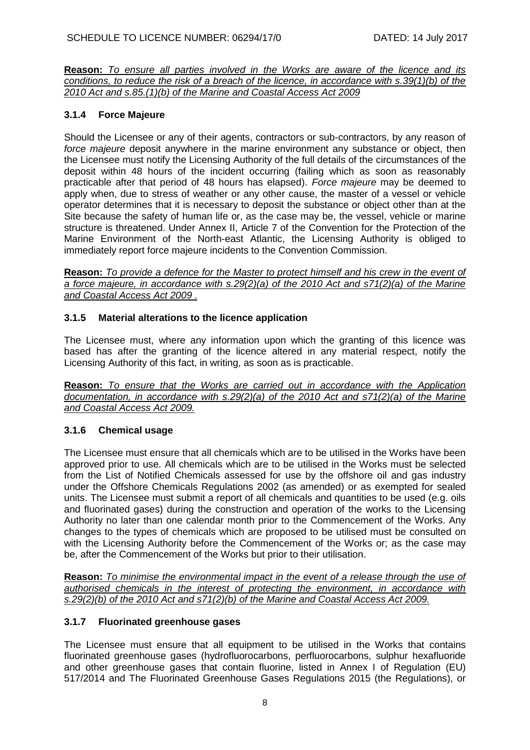**Reason:** *To ensure all parties involved in the Works are aware of the licence and its conditions, to reduce the risk of a breach of the licence, in accordance with s.39(1)(b) of the 2010 Act and s.85.(1)(b) of the Marine and Coastal Access Act 2009*

# **3.1.4 Force Majeure**

Should the Licensee or any of their agents, contractors or sub-contractors, by any reason of *force majeure* deposit anywhere in the marine environment any substance or object, then the Licensee must notify the Licensing Authority of the full details of the circumstances of the deposit within 48 hours of the incident occurring (failing which as soon as reasonably practicable after that period of 48 hours has elapsed). *Force majeure* may be deemed to apply when, due to stress of weather or any other cause, the master of a vessel or vehicle operator determines that it is necessary to deposit the substance or object other than at the Site because the safety of human life or, as the case may be, the vessel, vehicle or marine structure is threatened. Under Annex II, Article 7 of the Convention for the Protection of the Marine Environment of the North-east Atlantic, the Licensing Authority is obliged to immediately report force majeure incidents to the Convention Commission.

**Reason:** *To provide a defence for the Master to protect himself and his crew in the event of a force majeure, in accordance with s.29(2)(a) of the 2010 Act and s71(2)(a) of the Marine and Coastal Access Act 2009 .*

# **3.1.5 Material alterations to the licence application**

The Licensee must, where any information upon which the granting of this licence was based has after the granting of the licence altered in any material respect, notify the Licensing Authority of this fact, in writing, as soon as is practicable.

**Reason:** *To ensure that the Works are carried out in accordance with the Application documentation, in accordance with s.29(2)(a) of the 2010 Act and s71(2)(a) of the Marine and Coastal Access Act 2009.*

# **3.1.6 Chemical usage**

The Licensee must ensure that all chemicals which are to be utilised in the Works have been approved prior to use. All chemicals which are to be utilised in the Works must be selected from the List of Notified Chemicals assessed for use by the offshore oil and gas industry under the Offshore Chemicals Regulations 2002 (as amended) or as exempted for sealed units. The Licensee must submit a report of all chemicals and quantities to be used (e.g. oils and fluorinated gases) during the construction and operation of the works to the Licensing Authority no later than one calendar month prior to the Commencement of the Works. Any changes to the types of chemicals which are proposed to be utilised must be consulted on with the Licensing Authority before the Commencement of the Works or; as the case may be, after the Commencement of the Works but prior to their utilisation.

**Reason:** *To minimise the environmental impact in the event of a release through the use of authorised chemicals in the interest of protecting the environment, in accordance with s.29(2)(b) of the 2010 Act and s71(2)(b) of the Marine and Coastal Access Act 2009.*

## **3.1.7 Fluorinated greenhouse gases**

The Licensee must ensure that all equipment to be utilised in the Works that contains fluorinated greenhouse gases (hydrofluorocarbons, perfluorocarbons, sulphur hexafluoride and other greenhouse gases that contain fluorine, listed in Annex I of Regulation (EU) 517/2014 and The Fluorinated Greenhouse Gases Regulations 2015 (the Regulations), or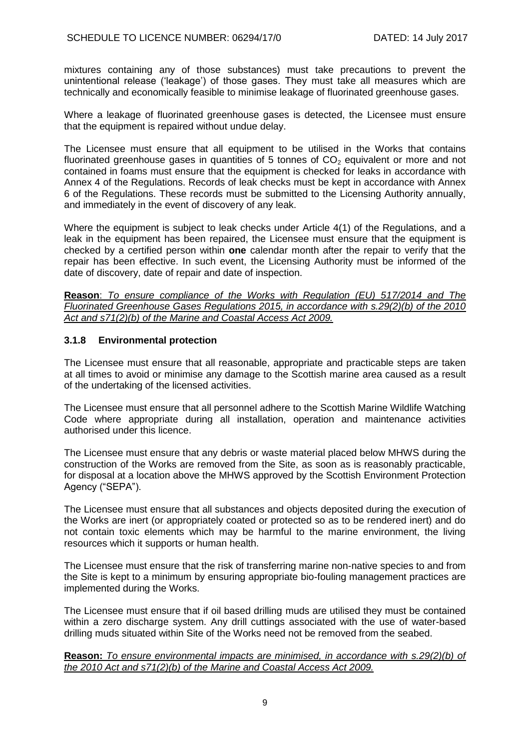mixtures containing any of those substances) must take precautions to prevent the unintentional release ('leakage') of those gases. They must take all measures which are technically and economically feasible to minimise leakage of fluorinated greenhouse gases.

Where a leakage of fluorinated greenhouse gases is detected, the Licensee must ensure that the equipment is repaired without undue delay.

The Licensee must ensure that all equipment to be utilised in the Works that contains fluorinated greenhouse gases in quantities of 5 tonnes of  $CO<sub>2</sub>$  equivalent or more and not contained in foams must ensure that the equipment is checked for leaks in accordance with Annex 4 of the Regulations. Records of leak checks must be kept in accordance with Annex 6 of the Regulations. These records must be submitted to the Licensing Authority annually, and immediately in the event of discovery of any leak.

Where the equipment is subject to leak checks under Article 4(1) of the Regulations, and a leak in the equipment has been repaired, the Licensee must ensure that the equipment is checked by a certified person within **one** calendar month after the repair to verify that the repair has been effective. In such event, the Licensing Authority must be informed of the date of discovery, date of repair and date of inspection.

**Reason**: *To ensure compliance of the Works with Regulation (EU) 517/2014 and The Fluorinated Greenhouse Gases Regulations 2015, in accordance with s.29(2)(b) of the 2010 Act and s71(2)(b) of the Marine and Coastal Access Act 2009.*

## **3.1.8 Environmental protection**

The Licensee must ensure that all reasonable, appropriate and practicable steps are taken at all times to avoid or minimise any damage to the Scottish marine area caused as a result of the undertaking of the licensed activities.

The Licensee must ensure that all personnel adhere to the Scottish Marine Wildlife Watching Code where appropriate during all installation, operation and maintenance activities authorised under this licence.

The Licensee must ensure that any debris or waste material placed below MHWS during the construction of the Works are removed from the Site, as soon as is reasonably practicable, for disposal at a location above the MHWS approved by the Scottish Environment Protection Agency ("SEPA").

The Licensee must ensure that all substances and objects deposited during the execution of the Works are inert (or appropriately coated or protected so as to be rendered inert) and do not contain toxic elements which may be harmful to the marine environment, the living resources which it supports or human health.

The Licensee must ensure that the risk of transferring marine non-native species to and from the Site is kept to a minimum by ensuring appropriate bio-fouling management practices are implemented during the Works.

The Licensee must ensure that if oil based drilling muds are utilised they must be contained within a zero discharge system. Any drill cuttings associated with the use of water-based drilling muds situated within Site of the Works need not be removed from the seabed.

#### **Reason:** *To ensure environmental impacts are minimised, in accordance with s.29(2)(b) of the 2010 Act and s71(2)(b) of the Marine and Coastal Access Act 2009.*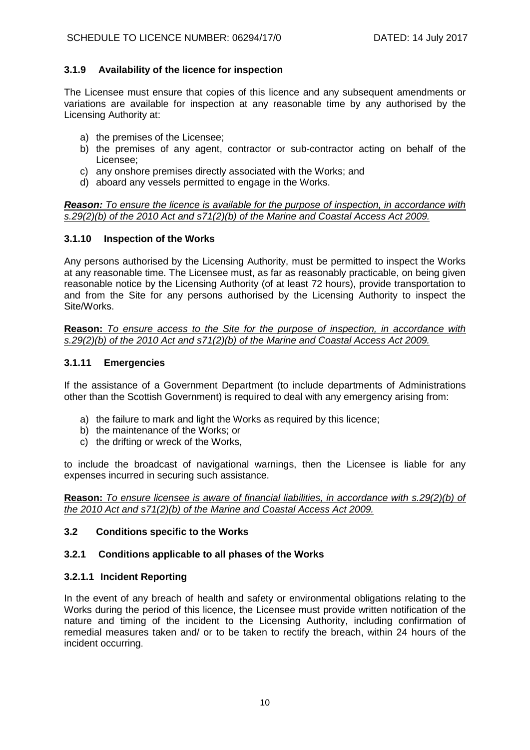# **3.1.9 Availability of the licence for inspection**

The Licensee must ensure that copies of this licence and any subsequent amendments or variations are available for inspection at any reasonable time by any authorised by the Licensing Authority at:

- a) the premises of the Licensee;
- b) the premises of any agent, contractor or sub-contractor acting on behalf of the Licensee;
- c) any onshore premises directly associated with the Works; and
- d) aboard any vessels permitted to engage in the Works.

#### *Reason: To ensure the licence is available for the purpose of inspection, in accordance with s.29(2)(b) of the 2010 Act and s71(2)(b) of the Marine and Coastal Access Act 2009.*

## **3.1.10 Inspection of the Works**

Any persons authorised by the Licensing Authority, must be permitted to inspect the Works at any reasonable time. The Licensee must, as far as reasonably practicable, on being given reasonable notice by the Licensing Authority (of at least 72 hours), provide transportation to and from the Site for any persons authorised by the Licensing Authority to inspect the Site/Works.

**Reason:** *To ensure access to the Site for the purpose of inspection, in accordance with s.29(2)(b) of the 2010 Act and s71(2)(b) of the Marine and Coastal Access Act 2009.*

## **3.1.11 Emergencies**

If the assistance of a Government Department (to include departments of Administrations other than the Scottish Government) is required to deal with any emergency arising from:

- a) the failure to mark and light the Works as required by this licence;
- b) the maintenance of the Works; or
- c) the drifting or wreck of the Works,

to include the broadcast of navigational warnings, then the Licensee is liable for any expenses incurred in securing such assistance.

**Reason:** *To ensure licensee is aware of financial liabilities, in accordance with s.29(2)(b) of the 2010 Act and s71(2)(b) of the Marine and Coastal Access Act 2009.*

## **3.2 Conditions specific to the Works**

## **3.2.1 Conditions applicable to all phases of the Works**

#### **3.2.1.1 Incident Reporting**

In the event of any breach of health and safety or environmental obligations relating to the Works during the period of this licence, the Licensee must provide written notification of the nature and timing of the incident to the Licensing Authority, including confirmation of remedial measures taken and/ or to be taken to rectify the breach, within 24 hours of the incident occurring.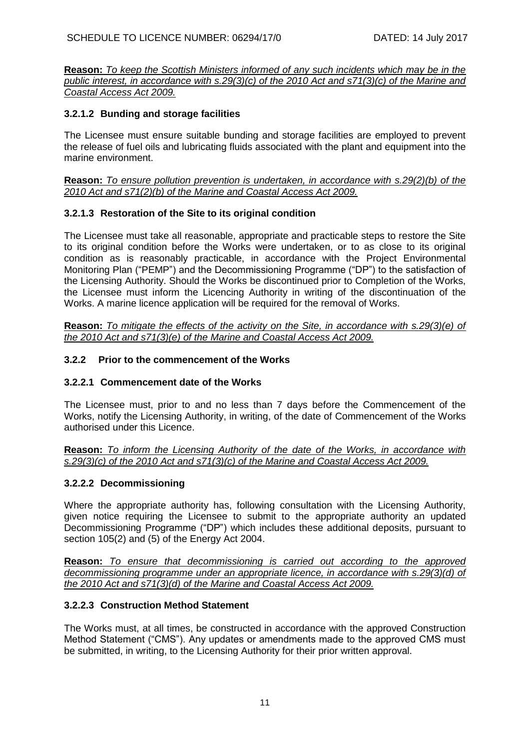**Reason:** *To keep the Scottish Ministers informed of any such incidents which may be in the public interest, in accordance with s.29(3)(c) of the 2010 Act and s71(3)(c) of the Marine and Coastal Access Act 2009.*

# **3.2.1.2 Bunding and storage facilities**

The Licensee must ensure suitable bunding and storage facilities are employed to prevent the release of fuel oils and lubricating fluids associated with the plant and equipment into the marine environment.

**Reason:** *To ensure pollution prevention is undertaken, in accordance with s.29(2)(b) of the 2010 Act and s71(2)(b) of the Marine and Coastal Access Act 2009.*

# **3.2.1.3 Restoration of the Site to its original condition**

The Licensee must take all reasonable, appropriate and practicable steps to restore the Site to its original condition before the Works were undertaken, or to as close to its original condition as is reasonably practicable, in accordance with the Project Environmental Monitoring Plan ("PEMP") and the Decommissioning Programme ("DP") to the satisfaction of the Licensing Authority. Should the Works be discontinued prior to Completion of the Works, the Licensee must inform the Licencing Authority in writing of the discontinuation of the Works. A marine licence application will be required for the removal of Works.

**Reason:** *To mitigate the effects of the activity on the Site, in accordance with s.29(3)(e) of the 2010 Act and s71(3)(e) of the Marine and Coastal Access Act 2009.*

## **3.2.2 Prior to the commencement of the Works**

## **3.2.2.1 Commencement date of the Works**

The Licensee must, prior to and no less than 7 days before the Commencement of the Works, notify the Licensing Authority, in writing, of the date of Commencement of the Works authorised under this Licence.

**Reason:** *To inform the Licensing Authority of the date of the Works, in accordance with s.29(3)(c) of the 2010 Act and s71(3)(c) of the Marine and Coastal Access Act 2009.*

## **3.2.2.2 Decommissioning**

Where the appropriate authority has, following consultation with the Licensing Authority, given notice requiring the Licensee to submit to the appropriate authority an updated Decommissioning Programme ("DP") which includes these additional deposits, pursuant to section 105(2) and (5) of the Energy Act 2004.

**Reason:** *To ensure that decommissioning is carried out according to the approved decommissioning programme under an appropriate licence, in accordance with s.29(3)(d) of the 2010 Act and s71(3)(d) of the Marine and Coastal Access Act 2009.*

## **3.2.2.3 Construction Method Statement**

The Works must, at all times, be constructed in accordance with the approved Construction Method Statement ("CMS"). Any updates or amendments made to the approved CMS must be submitted, in writing, to the Licensing Authority for their prior written approval.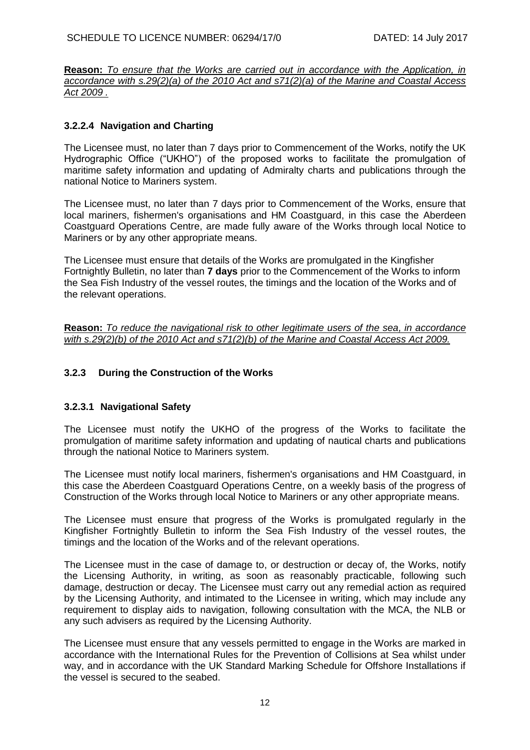**Reason:** *To ensure that the Works are carried out in accordance with the Application, in accordance with s.29(2)(a) of the 2010 Act and s71(2)(a) of the Marine and Coastal Access Act 2009 .*

# **3.2.2.4 Navigation and Charting**

The Licensee must, no later than 7 days prior to Commencement of the Works, notify the UK Hydrographic Office ("UKHO") of the proposed works to facilitate the promulgation of maritime safety information and updating of Admiralty charts and publications through the national Notice to Mariners system.

The Licensee must, no later than 7 days prior to Commencement of the Works, ensure that local mariners, fishermen's organisations and HM Coastguard, in this case the Aberdeen Coastguard Operations Centre, are made fully aware of the Works through local Notice to Mariners or by any other appropriate means.

The Licensee must ensure that details of the Works are promulgated in the Kingfisher Fortnightly Bulletin, no later than **7 days** prior to the Commencement of the Works to inform the Sea Fish Industry of the vessel routes, the timings and the location of the Works and of the relevant operations.

**Reason:** *To reduce the navigational risk to other legitimate users of the sea, in accordance with s.29(2)(b) of the 2010 Act and s71(2)(b) of the Marine and Coastal Access Act 2009.*

# **3.2.3 During the Construction of the Works**

## **3.2.3.1 Navigational Safety**

The Licensee must notify the UKHO of the progress of the Works to facilitate the promulgation of maritime safety information and updating of nautical charts and publications through the national Notice to Mariners system.

The Licensee must notify local mariners, fishermen's organisations and HM Coastguard, in this case the Aberdeen Coastguard Operations Centre, on a weekly basis of the progress of Construction of the Works through local Notice to Mariners or any other appropriate means.

The Licensee must ensure that progress of the Works is promulgated regularly in the Kingfisher Fortnightly Bulletin to inform the Sea Fish Industry of the vessel routes, the timings and the location of the Works and of the relevant operations.

The Licensee must in the case of damage to, or destruction or decay of, the Works, notify the Licensing Authority, in writing, as soon as reasonably practicable, following such damage, destruction or decay. The Licensee must carry out any remedial action as required by the Licensing Authority, and intimated to the Licensee in writing, which may include any requirement to display aids to navigation, following consultation with the MCA, the NLB or any such advisers as required by the Licensing Authority.

The Licensee must ensure that any vessels permitted to engage in the Works are marked in accordance with the International Rules for the Prevention of Collisions at Sea whilst under way, and in accordance with the UK Standard Marking Schedule for Offshore Installations if the vessel is secured to the seabed.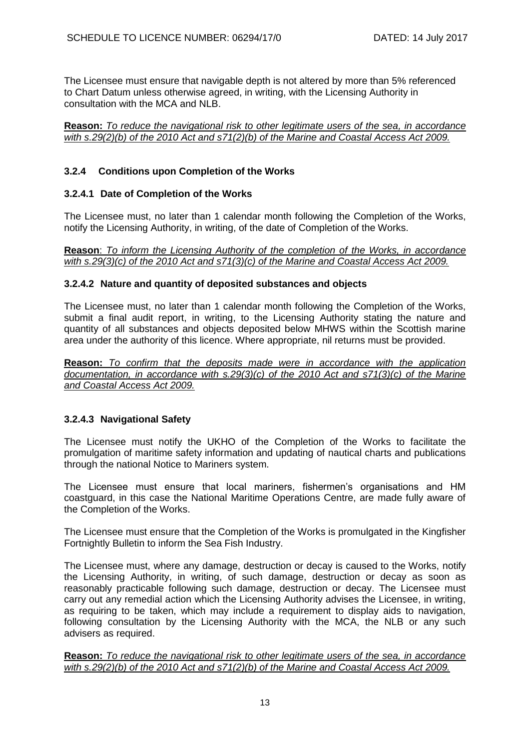The Licensee must ensure that navigable depth is not altered by more than 5% referenced to Chart Datum unless otherwise agreed, in writing, with the Licensing Authority in consultation with the MCA and NLB.

#### **Reason:** *To reduce the navigational risk to other legitimate users of the sea, in accordance with s.29(2)(b) of the 2010 Act and s71(2)(b) of the Marine and Coastal Access Act 2009.*

# **3.2.4 Conditions upon Completion of the Works**

# **3.2.4.1 Date of Completion of the Works**

The Licensee must, no later than 1 calendar month following the Completion of the Works, notify the Licensing Authority, in writing, of the date of Completion of the Works.

**Reason**: *To inform the Licensing Authority of the completion of the Works, in accordance with s.29(3)(c) of the 2010 Act and s71(3)(c) of the Marine and Coastal Access Act 2009.*

#### **3.2.4.2 Nature and quantity of deposited substances and objects**

The Licensee must, no later than 1 calendar month following the Completion of the Works, submit a final audit report, in writing, to the Licensing Authority stating the nature and quantity of all substances and objects deposited below MHWS within the Scottish marine area under the authority of this licence. Where appropriate, nil returns must be provided.

**Reason:** *To confirm that the deposits made were in accordance with the application documentation, in accordance with s.29(3)(c) of the 2010 Act and s71(3)(c) of the Marine and Coastal Access Act 2009.*

# **3.2.4.3 Navigational Safety**

The Licensee must notify the UKHO of the Completion of the Works to facilitate the promulgation of maritime safety information and updating of nautical charts and publications through the national Notice to Mariners system.

The Licensee must ensure that local mariners, fishermen's organisations and HM coastguard, in this case the National Maritime Operations Centre, are made fully aware of the Completion of the Works.

The Licensee must ensure that the Completion of the Works is promulgated in the Kingfisher Fortnightly Bulletin to inform the Sea Fish Industry.

The Licensee must, where any damage, destruction or decay is caused to the Works, notify the Licensing Authority, in writing, of such damage, destruction or decay as soon as reasonably practicable following such damage, destruction or decay. The Licensee must carry out any remedial action which the Licensing Authority advises the Licensee, in writing, as requiring to be taken, which may include a requirement to display aids to navigation, following consultation by the Licensing Authority with the MCA, the NLB or any such advisers as required.

**Reason:** *To reduce the navigational risk to other legitimate users of the sea, in accordance with s.29(2)(b) of the 2010 Act and s71(2)(b) of the Marine and Coastal Access Act 2009.*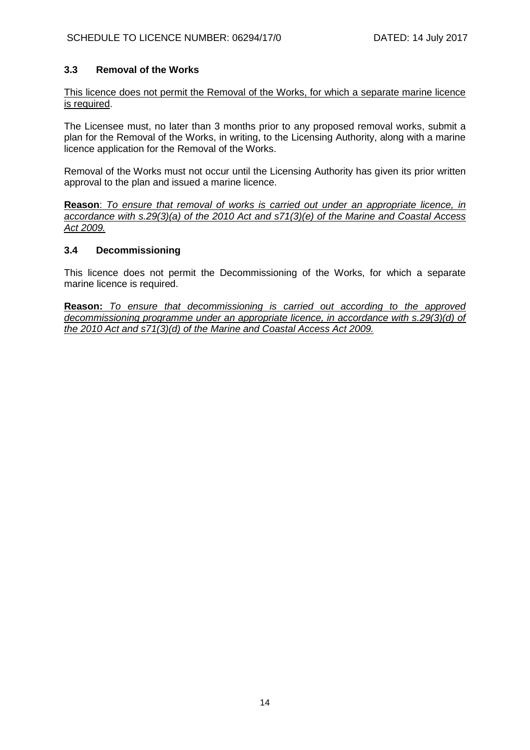# **3.3 Removal of the Works**

This licence does not permit the Removal of the Works, for which a separate marine licence is required.

The Licensee must, no later than 3 months prior to any proposed removal works, submit a plan for the Removal of the Works, in writing, to the Licensing Authority, along with a marine licence application for the Removal of the Works.

Removal of the Works must not occur until the Licensing Authority has given its prior written approval to the plan and issued a marine licence.

**Reason**: *To ensure that removal of works is carried out under an appropriate licence, in accordance with s.29(3)(a) of the 2010 Act and s71(3)(e) of the Marine and Coastal Access Act 2009.*

### **3.4 Decommissioning**

This licence does not permit the Decommissioning of the Works, for which a separate marine licence is required.

**Reason:** *To ensure that decommissioning is carried out according to the approved decommissioning programme under an appropriate licence, in accordance with s.29(3)(d) of the 2010 Act and s71(3)(d) of the Marine and Coastal Access Act 2009.*